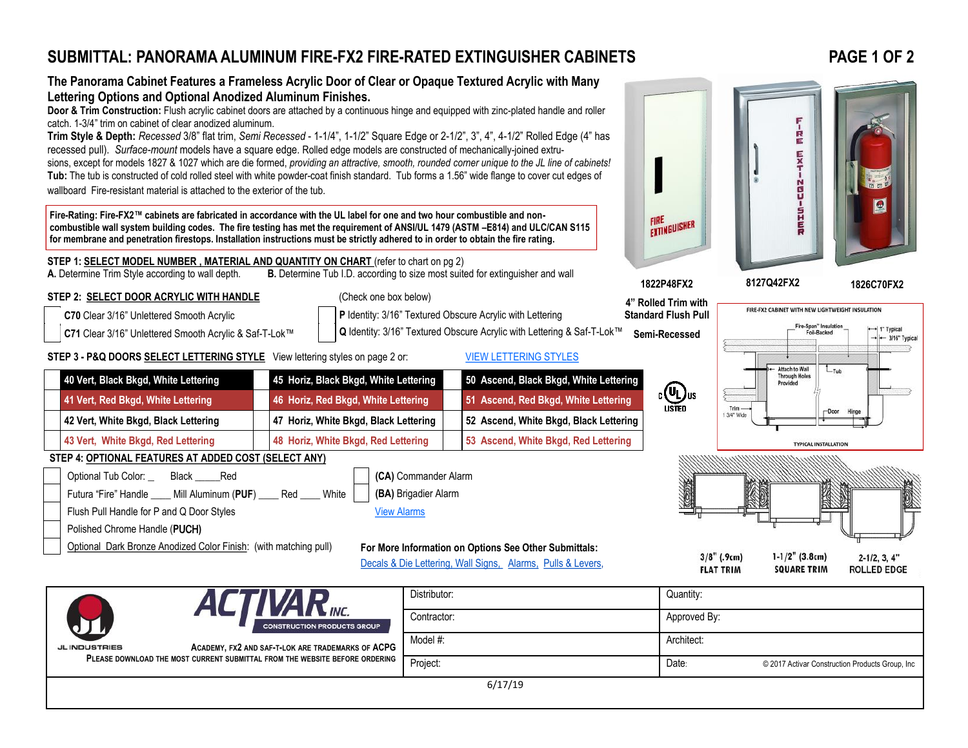## **SUBMITTAL: PANORAMA ALUMINUM FIRE-FX2 FIRE-RATED EXTINGUISHER CABINETS**

**PLEASE DOWNLOAD THE MOST CURRENT SUBMITTAL FROM THE WEBSITE BEFORE ORDERING**

## **PAGE 1 OF 2**



6/17/19

Project: **Date:** © 2017 Activar Construction Products Group, Inc. 2017 Activar Construction Products Group, Inc.